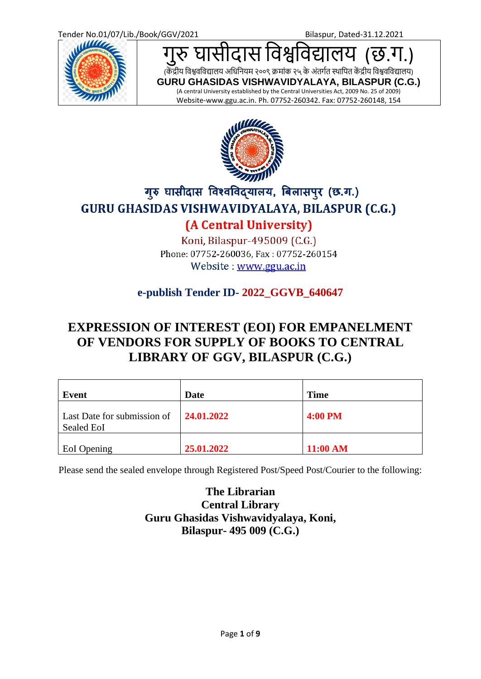

स विश्वविद्यालय *(*छ.ग.)

(केंद्रीय विश्ववविद्यालय अधिनियम २००९ क्रमांक २५ के अंतर्गत स्थापित केंद्रीय विश्ववविद्यालय)

**GURU GHASIDAS VISHWAVIDYALAYA, BILASPUR (C.G.)** (A central University established by the Central Universities Act, 2009 No. 25 of 2009) Website-www.ggu.ac.in. Ph. 07752-260342. Fax: 07752-260148, 154



# गुरु घासीदास विश्वविद्यालय, बिलासपुर (छ.ग.) GURU GHASIDAS VISHWAVIDYALAYA, BILASPUR (C.G.) (A Central University)

Koni, Bilaspur-495009 (C.G.) Phone: 07752-260036, Fax: 07752-260154

Website: www.ggu.ac.in

## **e-publish Tender ID- 2022\_GGVB\_640647**

# **EXPRESSION OF INTEREST (EOI) FOR EMPANELMENT OF VENDORS FOR SUPPLY OF BOOKS TO CENTRAL LIBRARY OF GGV, BILASPUR (C.G.)**

| Event                                                                      | Date       | <b>Time</b>    |
|----------------------------------------------------------------------------|------------|----------------|
| Last Date for submission of $\vert$ <b>24.01.2022</b><br><b>Sealed EoI</b> |            | <b>4:00 PM</b> |
| <b>EoI</b> Opening                                                         | 25.01.2022 | 11:00 AM       |

Please send the sealed envelope through Registered Post/Speed Post/Courier to the following:

**The Librarian Central Library Guru Ghasidas Vishwavidyalaya, Koni, Bilaspur- 495 009 (C.G.)**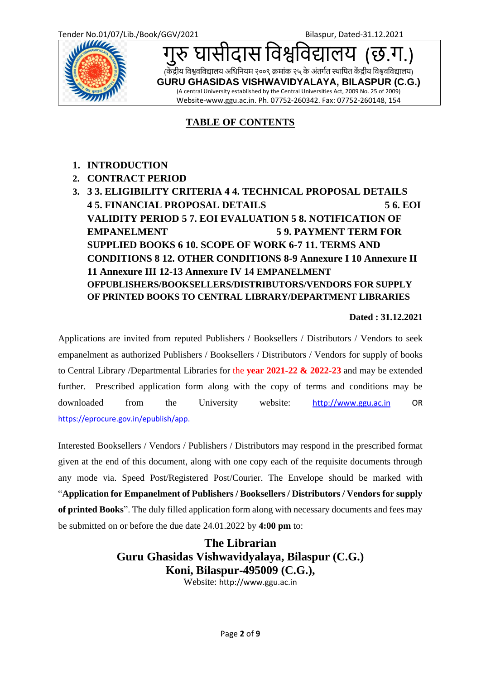

सीदास विश्वविद्यालय *(*छ.ग (केंद्रीय विश्ववविद्यालय अधिनियम २००९ क्रमांक २५ के अंतर्गत स्थापित केंद्रीय विश्ववविद्यालय) **GURU GHASIDAS VISHWAVIDYALAYA, BILASPUR (C.G.)** (A central University established by the Central Universities Act, 2009 No. 25 of 2009) Website-www.ggu.ac.in. Ph. 07752-260342. Fax: 07752-260148, 154

## **TABLE OF CONTENTS**

- **1. INTRODUCTION**
- **2. CONTRACT PERIOD**
- **3. 3 3. ELIGIBILITY CRITERIA 4 4. TECHNICAL PROPOSAL DETAILS 4 5. FINANCIAL PROPOSAL DETAILS 5 6. EOI VALIDITY PERIOD 5 7. EOI EVALUATION 5 8. NOTIFICATION OF EMPANELMENT 5 9. PAYMENT TERM FOR SUPPLIED BOOKS 6 10. SCOPE OF WORK 6-7 11. TERMS AND CONDITIONS 8 12. OTHER CONDITIONS 8-9 Annexure I 10 Annexure II 11 Annexure III 12-13 Annexure IV 14 EMPANELMENT OFPUBLISHERS/BOOKSELLERS/DISTRIBUTORS/VENDORS FOR SUPPLY OF PRINTED BOOKS TO CENTRAL LIBRARY/DEPARTMENT LIBRARIES**

#### **Dated : 31.12.2021**

Applications are invited from reputed Publishers / Booksellers / Distributors / Vendors to seek empanelment as authorized Publishers / Booksellers / Distributors / Vendors for supply of books to Central Library /Departmental Libraries for the **year 2021-22 & 2022-23** and may be extended further. Prescribed application form along with the copy of terms and conditions may be downloaded from the University website: [http://www.ggu.ac.in](http://www.ggu.ac.in/) OR https://eprocure.gov.in/epublish/app.

Interested Booksellers / Vendors / Publishers / Distributors may respond in the prescribed format given at the end of this document, along with one copy each of the requisite documents through any mode via. Speed Post/Registered Post/Courier. The Envelope should be marked with "**Application for Empanelment of Publishers / Booksellers / Distributors / Vendors for supply of printed Books**". The duly filled application form along with necessary documents and fees may be submitted on or before the due date 24.01.2022 by **4:00 pm** to:

> **The Librarian Guru Ghasidas Vishwavidyalaya, Bilaspur (C.G.) Koni, Bilaspur-495009 (C.G.),**

Website: http://www.ggu.ac.in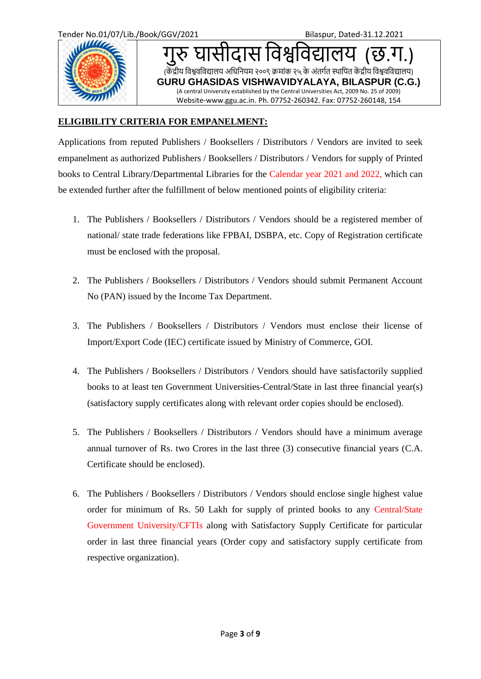

सीदास विश्वविद्यालय *(*छ.ग (केंद्रीय विश्ववविद्यालय अधिनियम २००९ क्रमांक २५ के अंतर्गत स्थापित केंद्रीय विश्ववविद्यालय) **GURU GHASIDAS VISHWAVIDYALAYA, BILASPUR (C.G.)** (A central University established by the Central Universities Act, 2009 No. 25 of 2009) Website-www.ggu.ac.in. Ph. 07752-260342. Fax: 07752-260148, 154

### **ELIGIBILITY CRITERIA FOR EMPANELMENT:**

Applications from reputed Publishers / Booksellers / Distributors / Vendors are invited to seek empanelment as authorized Publishers / Booksellers / Distributors / Vendors for supply of Printed books to Central Library/Departmental Libraries for the Calendar year 2021 and 2022, which can be extended further after the fulfillment of below mentioned points of eligibility criteria:

- 1. The Publishers / Booksellers / Distributors / Vendors should be a registered member of national/ state trade federations like FPBAI, DSBPA, etc. Copy of Registration certificate must be enclosed with the proposal.
- 2. The Publishers / Booksellers / Distributors / Vendors should submit Permanent Account No (PAN) issued by the Income Tax Department.
- 3. The Publishers / Booksellers / Distributors / Vendors must enclose their license of Import/Export Code (IEC) certificate issued by Ministry of Commerce, GOI.
- 4. The Publishers / Booksellers / Distributors / Vendors should have satisfactorily supplied books to at least ten Government Universities-Central/State in last three financial year(s) (satisfactory supply certificates along with relevant order copies should be enclosed).
- 5. The Publishers / Booksellers / Distributors / Vendors should have a minimum average annual turnover of Rs. two Crores in the last three (3) consecutive financial years (C.A. Certificate should be enclosed).
- 6. The Publishers / Booksellers / Distributors / Vendors should enclose single highest value order for minimum of Rs. 50 Lakh for supply of printed books to any Central/State Government University/CFTIs along with Satisfactory Supply Certificate for particular order in last three financial years (Order copy and satisfactory supply certificate from respective organization).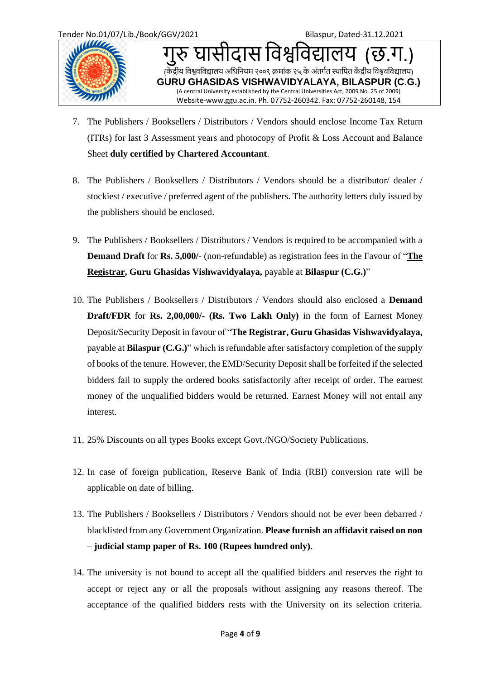

Tender No.01/07/Lib./Book/GGV/2021 Bilaspur, Dated-31.12.2021 सीदास विश्वविद्यालय *(*छ.ग (केंद्रीय विश्ववविद्यालय अधिनियम २००९ क्रमांक २५ के अंतर्गत स्थापित केंद्रीय विश्ववविद्यालय) **GURU GHASIDAS VISHWAVIDYALAYA, BILASPUR (C.G.)** (A central University established by the Central Universities Act, 2009 No. 25 of 2009) Website-www.ggu.ac.in. Ph. 07752-260342. Fax: 07752-260148, 154

- 7. The Publishers / Booksellers / Distributors / Vendors should enclose Income Tax Return (ITRs) for last 3 Assessment years and photocopy of Profit & Loss Account and Balance Sheet **duly certified by Chartered Accountant**.
- 8. The Publishers / Booksellers / Distributors / Vendors should be a distributor/ dealer / stockiest / executive / preferred agent of the publishers. The authority letters duly issued by the publishers should be enclosed.
- 9. The Publishers / Booksellers / Distributors / Vendors is required to be accompanied with a **Demand Draft** for **Rs. 5,000/**- (non-refundable) as registration fees in the Favour of "**The Registrar, Guru Ghasidas Vishwavidyalaya,** payable at **Bilaspur (C.G.)**"
- 10. The Publishers / Booksellers / Distributors / Vendors should also enclosed a **Demand Draft/FDR** for **Rs. 2,00,000/- (Rs. Two Lakh Only)** in the form of Earnest Money Deposit/Security Deposit in favour of "**The Registrar, Guru Ghasidas Vishwavidyalaya,**  payable at **Bilaspur (C.G.)**" which is refundable after satisfactory completion of the supply of books of the tenure. However, the EMD/Security Depositshall be forfeited if the selected bidders fail to supply the ordered books satisfactorily after receipt of order. The earnest money of the unqualified bidders would be returned. Earnest Money will not entail any interest.
- 11. 25% Discounts on all types Books except Govt./NGO/Society Publications.
- 12. In case of foreign publication, Reserve Bank of India (RBI) conversion rate will be applicable on date of billing.
- 13. The Publishers / Booksellers / Distributors / Vendors should not be ever been debarred / blacklisted from any Government Organization. **Please furnish an affidavit raised on non – judicial stamp paper of Rs. 100 (Rupees hundred only).**
- 14. The university is not bound to accept all the qualified bidders and reserves the right to accept or reject any or all the proposals without assigning any reasons thereof. The acceptance of the qualified bidders rests with the University on its selection criteria.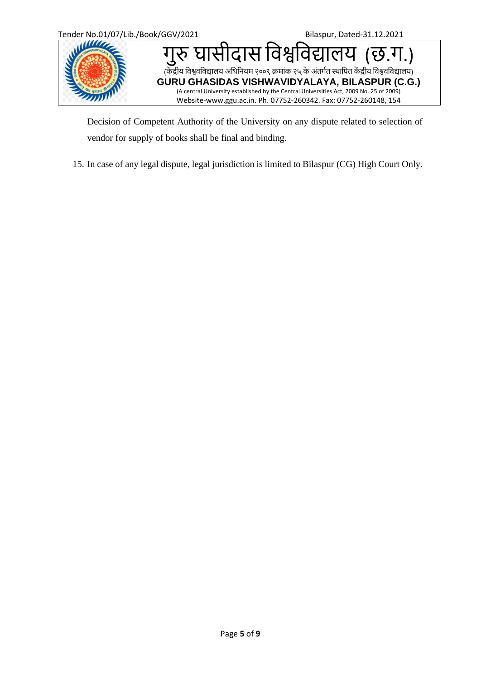

Decision of Competent Authority of the University on any dispute related to selection of vendor for supply of books shall be final and binding.

15. In case of any legal dispute, legal jurisdiction is limited to Bilaspur (CG) High Court Only.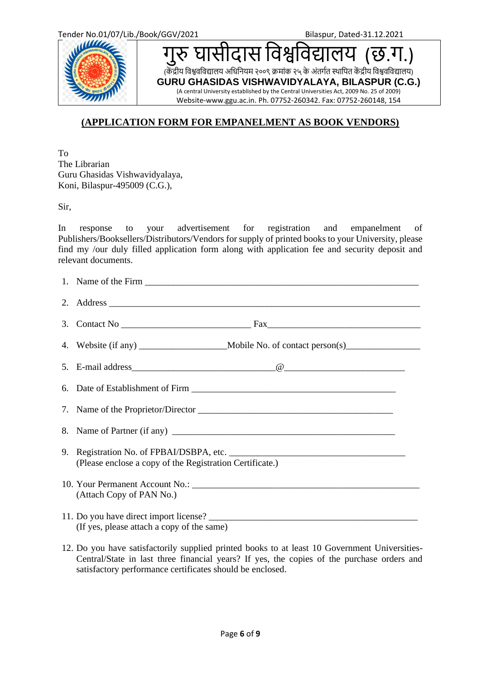

घासीदास विश्वविद्यालय *(*छ.ग.)

(केंद्रीय विश्ववविद्यालय अधिनियम २००९ क्रमांक २५ के अंतर्गत स्थापित केंद्रीय विश्ववविद्यालय)

**GURU GHASIDAS VISHWAVIDYALAYA, BILASPUR (C.G.)** (A central University established by the Central Universities Act, 2009 No. 25 of 2009) Website-www.ggu.ac.in. Ph. 07752-260342. Fax: 07752-260148, 154

## **(APPLICATION FORM FOR EMPANELMENT AS BOOK VENDORS)**

To The Librarian Guru Ghasidas Vishwavidyalaya, Koni, Bilaspur-495009 (C.G.),

Sir,

In response to your advertisement for registration and empanelment of Publishers/Booksellers/Distributors/Vendors for supply of printed books to your University, please find my /our duly filled application form along with application fee and security deposit and relevant documents.

| (Please enclose a copy of the Registration Certificate.)                             |  |  |
|--------------------------------------------------------------------------------------|--|--|
| (Attach Copy of PAN No.)                                                             |  |  |
| 11. Do you have direct import license?<br>(If yes, please attach a copy of the same) |  |  |

12. Do you have satisfactorily supplied printed books to at least 10 Government Universities-Central/State in last three financial years? If yes, the copies of the purchase orders and satisfactory performance certificates should be enclosed.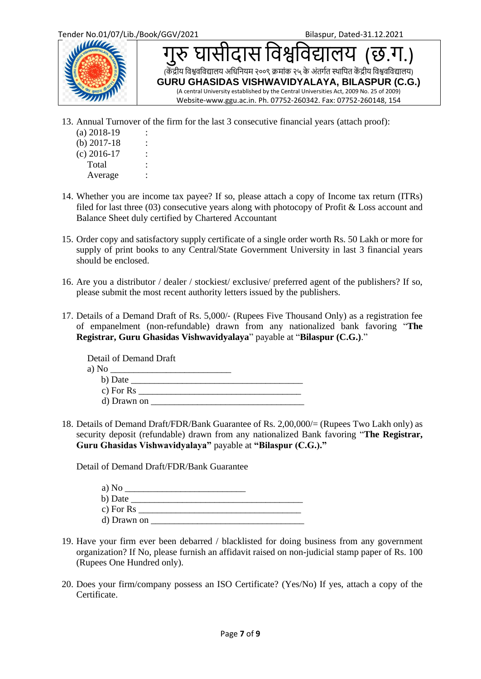

सीदास विश्वविद्यालय (केंद्रीय विश्ववविद्यालय अधिनियम २००९ क्रमांक २५ के अंतर्गत स्थापित केंद्रीय विश्ववविद्यालय) **GURU GHASIDAS VISHWAVIDYALAYA, BILASPUR (C.G.)** (A central University established by the Central Universities Act, 2009 No. 25 of 2009) Website-www.ggu.ac.in. Ph. 07752-260342. Fax: 07752-260148, 154

- 13. Annual Turnover of the firm for the last 3 consecutive financial years (attach proof):
	- $(a)$  2018-19  $(b) 2017-18$  :  $(c)$  2016-17 : Total Average :
- 14. Whether you are income tax payee? If so, please attach a copy of Income tax return (ITRs) filed for last three (03) consecutive years along with photocopy of Profit & Loss account and Balance Sheet duly certified by Chartered Accountant
	- 15. Order copy and satisfactory supply certificate of a single order worth Rs. 50 Lakh or more for supply of print books to any Central/State Government University in last 3 financial years should be enclosed.
	- 16. Are you a distributor / dealer / stockiest/ exclusive/ preferred agent of the publishers? If so, please submit the most recent authority letters issued by the publishers.
	- 17. Details of a Demand Draft of Rs. 5,000/‐ (Rupees Five Thousand Only) as a registration fee of empanelment (non-refundable) drawn from any nationalized bank favoring "**The Registrar, Guru Ghasidas Vishwavidyalaya**" payable at "**Bilaspur (C.G.)**."

Detail of Demand Draft a)  $No$ b) Date c) For  $\operatorname{Rs}$ d) Drawn on  $\overline{\phantom{a}}$ 

18. Details of Demand Draft/FDR/Bank Guarantee of Rs. 2,00,000/= (Rupees Two Lakh only) as security deposit (refundable) drawn from any nationalized Bank favoring "**The Registrar, Guru Ghasidas Vishwavidyalaya"** payable at **"Bilaspur (C.G.)."**

Detail of Demand Draft/FDR/Bank Guarantee

| a) No       |  |
|-------------|--|
| b) Date     |  |
| c) For $Rs$ |  |
| d) Drawn on |  |

- 19. Have your firm ever been debarred / blacklisted for doing business from any government organization? If No, please furnish an affidavit raised on non-judicial stamp paper of Rs. 100 (Rupees One Hundred only).
- 20. Does your firm/company possess an ISO Certificate? (Yes/No) If yes, attach a copy of the Certificate.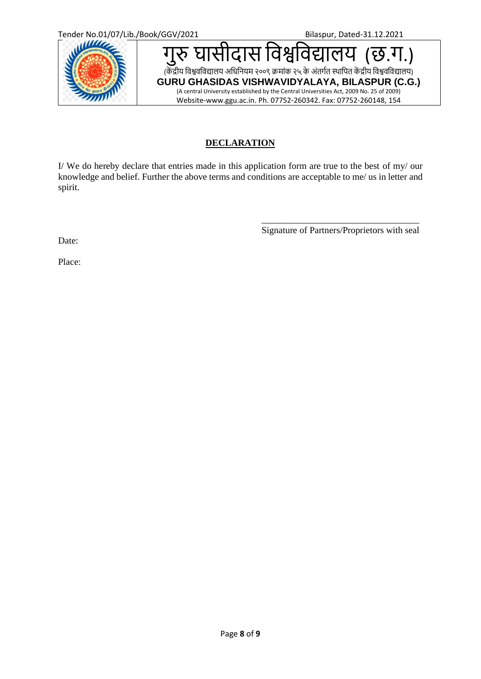

### **DECLARATION**

I/ We do hereby declare that entries made in this application form are true to the best of my/ our knowledge and belief. Further the above terms and conditions are acceptable to me/ us in letter and spirit.

> \_\_\_\_\_\_\_\_\_\_\_\_\_\_\_\_\_\_\_\_\_\_\_\_\_\_\_\_\_\_\_\_\_\_ Signature of Partners/Proprietors with seal

Date:

Place: